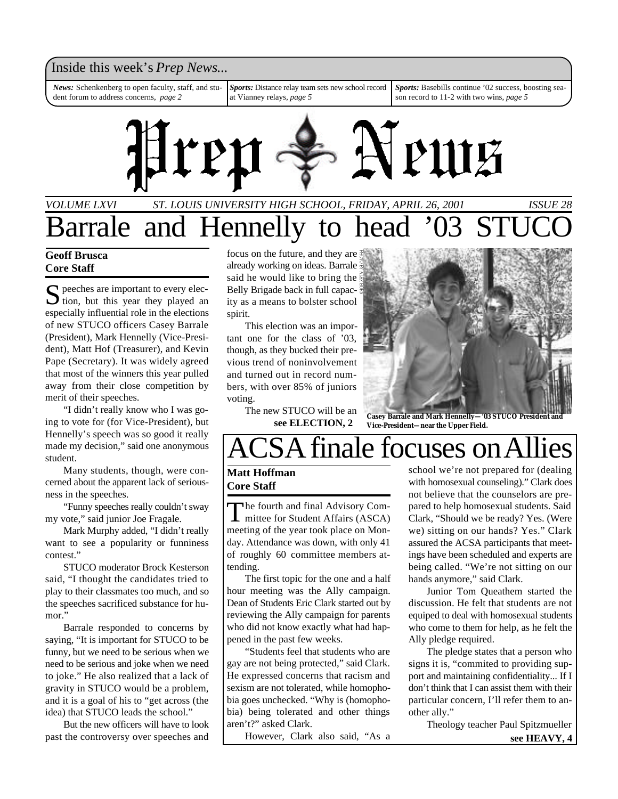### Inside this week's *Prep News*...

*Sports:* Distance relay team sets new school record at Vianney relays, *page 5 Sports:* Basebills continue '02 success, boosting season record to 11-2 with two wins, *page 5 News:* Schenkenberg to open faculty, staff, and student forum to address concerns, *page 2*



### *VOLUME LXVI ISSUE 28 ST. LOUIS UNIVERSITY HIGH SCHOOL, FRIDAY, APRIL 26, 2001*

# $\overline{B}$ arrale and Hennelly to head

### **Geoff Brusca Core Staff**

S peeches are important to every elec-<br>tion, but this year they played an  $\bigcup$  tion, but this year they played an especially influential role in the elections of new STUCO officers Casey Barrale (President), Mark Hennelly (Vice-President), Matt Hof (Treasurer), and Kevin Pape (Secretary). It was widely agreed that most of the winners this year pulled away from their close competition by merit of their speeches.

"I didn't really know who I was going to vote for (for Vice-President), but Hennelly's speech was so good it really made my decision," said one anonymous student.

Many students, though, were concerned about the apparent lack of seriousness in the speeches.

"Funny speeches really couldn't sway my vote," said junior Joe Fragale.

Mark Murphy added, "I didn't really want to see a popularity or funniness contest."

STUCO moderator Brock Kesterson said, "I thought the candidates tried to play to their classmates too much, and so the speeches sacrificed substance for humor."

Barrale responded to concerns by saying, "It is important for STUCO to be funny, but we need to be serious when we need to be serious and joke when we need to joke." He also realized that a lack of gravity in STUCO would be a problem, and it is a goal of his to "get across (the idea) that STUCO leads the school."

But the new officers will have to look past the controversy over speeches and focus on the future, and they are already working on ideas. Barrale said he would like to bring the Belly Brigade back in full capacity as a means to bolster school spirit.

This election was an important one for the class of '03, though, as they bucked their previous trend of noninvolvement and turned out in record numbers, with over 85% of juniors voting.

> **see ELECTION, 2** The new STUCO will be an **Casey Barrale and Mark Hennelly—'03 STUCO President**



**Vice-President—near the Upper Field.**

## SA finale focuses on Al

### **Matt Hoffman Core Staff**

The fourth and final Advisory Com-<br>mittee for Student Affairs (ASCA) he fourth and final Advisory Commeeting of the year took place on Monday. Attendance was down, with only 41 of roughly 60 committee members attending.

The first topic for the one and a half hour meeting was the Ally campaign. Dean of Students Eric Clark started out by reviewing the Ally campaign for parents who did not know exactly what had happened in the past few weeks.

"Students feel that students who are gay are not being protected," said Clark. He expressed concerns that racism and sexism are not tolerated, while homophobia goes unchecked. "Why is (homophobia) being tolerated and other things aren't?" asked Clark.

However, Clark also said, "As a

school we're not prepared for (dealing with homosexual counseling)." Clark does not believe that the counselors are prepared to help homosexual students. Said Clark, "Should we be ready? Yes. (Were we) sitting on our hands? Yes." Clark assured the ACSA participants that meetings have been scheduled and experts are being called. "We're not sitting on our hands anymore," said Clark.

Junior Tom Queathem started the discussion. He felt that students are not equiped to deal with homosexual students who come to them for help, as he felt the Ally pledge required.

The pledge states that a person who signs it is, "commited to providing support and maintaining confidentiality... If I don't think that I can assist them with their particular concern, I'll refer them to another ally."

**see HEAVY, 4** Theology teacher Paul Spitzmueller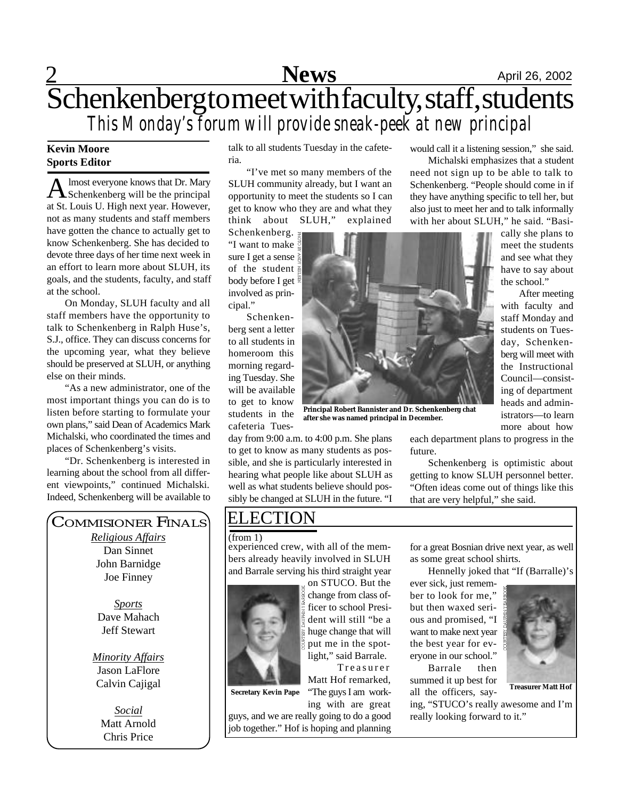## **News** April 26, 2002 Schenkenberg to meet with faculty, staff, students *This Monday's forum will provide sneak-peek at new principal*

### **Kevin Moore Sports Editor**

A Imost everyone knows that Dr. Mary<br>Schenkenberg will be the principal lmost everyone knows that Dr. Mary at St. Louis U. High next year. However, not as many students and staff members have gotten the chance to actually get to know Schenkenberg. She has decided to devote three days of her time next week in an effort to learn more about SLUH, its goals, and the students, faculty, and staff at the school.

On Monday, SLUH faculty and all staff members have the opportunity to talk to Schenkenberg in Ralph Huse's, S.J., office. They can discuss concerns for the upcoming year, what they believe should be preserved at SLUH, or anything else on their minds.

"As a new administrator, one of the most important things you can do is to listen before starting to formulate your own plans," said Dean of Academics Mark Michalski, who coordinated the times and places of Schenkenberg's visits.

"Dr. Schenkenberg is interested in learning about the school from all different viewpoints," continued Michalski. Indeed, Schenkenberg will be available to

COMMISIONER FINALS

*Religious Affairs* Dan Sinnet John Barnidge Joe Finney

*Sports* Dave Mahach Jeff Stewart

*Minority Affairs* Jason LaFlore Calvin Cajigal

*Social* Matt Arnold Chris Price

talk to all students Tuesday in the cafeteria.

"I've met so many members of the SLUH community already, but I want an opportunity to meet the students so I can get to know who they are and what they think about SLUH," explained

Schenkenberg. "I want to make sure I get a sense of the student body before I get involved as principal."

Schenkenberg sent a letter to all students in homeroom this morning regarding Tuesday. She will be available to get to know students in the cafeteria Tues-



**Principal Robert Bannister and Dr. Schenkenberg chat after she was named principal in December.**

day from 9:00 a.m. to 4:00 p.m. She plans to get to know as many students as possible, and she is particularly interested in hearing what people like about SLUH as well as what students believe should possibly be changed at SLUH in the future. "I

### would call it a listening session," she said.

Michalski emphasizes that a student need not sign up to be able to talk to Schenkenberg. "People should come in if they have anything specific to tell her, but also just to meet her and to talk informally with her about SLUH," he said. "Basi-

cally she plans to meet the students and see what they have to say about the school."

After meeting with faculty and staff Monday and students on Tuesday, Schenkenberg will meet with the Instructional Council—consisting of department heads and administrators—to learn more about how

each department plans to progress in the future.

Schenkenberg is optimistic about getting to know SLUH personnel better. "Often ideas come out of things like this that are very helpful," she said.

### ELECTION

#### (from 1)

experienced crew, with all of the members already heavily involved in SLUH and Barrale serving his third straight year



on STUCO. But the change from class officer to school President will still "be a huge change that will put me in the spotlight," said Barrale. Treasurer

Matt Hof remarked, "The guys I am work-

ing with are great

guys, and we are really going to do a good job together." Hof is hoping and planning for a great Bosnian drive next year, as well as some great school shirts.

Hennelly joked that "If (Barralle)'s

ever sick, just remember to look for me," but then waxed serious and promised, "I want to make next year the best year for everyone in our school."

Barrale then summed it up best for all the officers, say-

ing, "STUCO's really awesome and I'm really looking forward to it."



**Treasurer Matt Hof**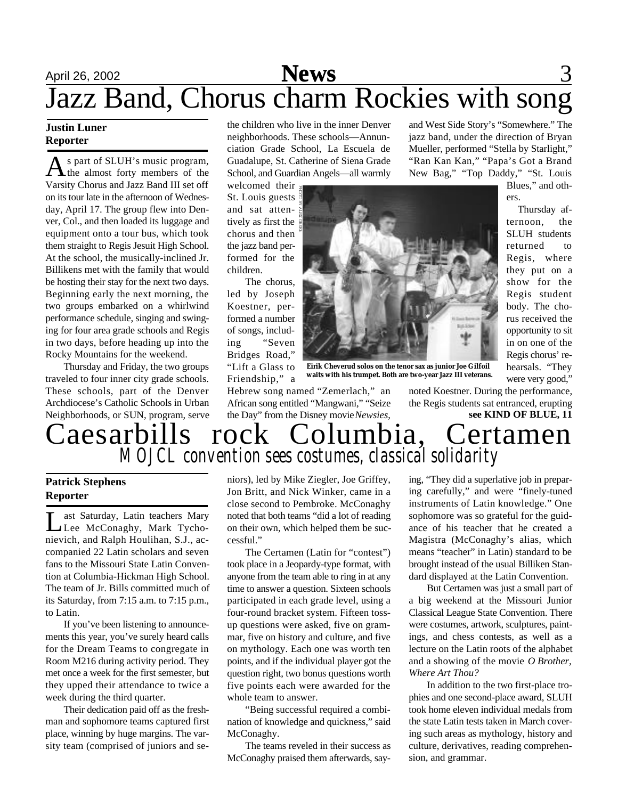### April 26, 2002 **News** 3 **News** Jazz Band, Chorus charm Rockies with song

### **Justin Luner Reporter**

A s part of SLUH's music program, s part of SLUH's music program, Varsity Chorus and Jazz Band III set off on its tour late in the afternoon of Wednesday, April 17. The group flew into Denver, Col., and then loaded its luggage and equipment onto a tour bus, which took them straight to Regis Jesuit High School. At the school, the musically-inclined Jr. Billikens met with the family that would be hosting their stay for the next two days. Beginning early the next morning, the two groups embarked on a whirlwind performance schedule, singing and swinging for four area grade schools and Regis in two days, before heading up into the Rocky Mountains for the weekend.

Thursday and Friday, the two groups traveled to four inner city grade schools. These schools, part of the Denver Archdiocese's Catholic Schools in Urban Neighborhoods, or SUN, program, serve

the children who live in the inner Denver neighborhoods. These schools—Annunciation Grade School, La Escuela de Guadalupe, St. Catherine of Siena Grade School, and Guardian Angels—all warmly

welcomed their St. Louis guests and sat attentively as first the  $\frac{1}{2}$ chorus and then the jazz band performed for the children.

The chorus, led by Joseph Koestner, performed a number of songs, including "Seven Bridges Road," "Lift a Glass to Friendship," a



**Eirik Cheverud solos on the tenor sax as junior Joe Gilfoil waits with his trumpet. Both are two-year Jazz III veterans.**

Hebrew song named "Zemerlach," an African song entitled "Mangwani," "Seize the Day" from the Disney movie *Newsies*,

noted Koestner. During the performance, the Regis students sat entranced, erupting **see KIND OF BLUE, 11**

and West Side Story's "Somewhere." The jazz band, under the direction of Bryan Mueller, performed "Stella by Starlight," "Ran Kan Kan," "Papa's Got a Brand

Blues," and oth-

Thursday afternoon, the SLUH students returned to Regis, where they put on a show for the Regis student body. The chorus received the opportunity to sit in on one of the Regis chorus' rehearsals. "They were very good,"

ers.

## aesarbills rock Columbia, Certamen *MOJCL convention sees costumes, classical solidarity*

### **Patrick Stephens Reporter**

Lee McConaghy, Mark Tychoast Saturday, Latin teachers Mary nievich, and Ralph Houlihan, S.J., accompanied 22 Latin scholars and seven fans to the Missouri State Latin Convention at Columbia-Hickman High School. The team of Jr. Bills committed much of its Saturday, from 7:15 a.m. to 7:15 p.m., to Latin.

If you've been listening to announcements this year, you've surely heard calls for the Dream Teams to congregate in Room M216 during activity period. They met once a week for the first semester, but they upped their attendance to twice a week during the third quarter.

Their dedication paid off as the freshman and sophomore teams captured first place, winning by huge margins. The varsity team (comprised of juniors and seniors), led by Mike Ziegler, Joe Griffey, Jon Britt, and Nick Winker, came in a close second to Pembroke. McConaghy noted that both teams "did a lot of reading on their own, which helped them be successful."

The Certamen (Latin for "contest") took place in a Jeopardy-type format, with anyone from the team able to ring in at any time to answer a question. Sixteen schools participated in each grade level, using a four-round bracket system. Fifteen tossup questions were asked, five on grammar, five on history and culture, and five on mythology. Each one was worth ten points, and if the individual player got the question right, two bonus questions worth five points each were awarded for the whole team to answer.

"Being successful required a combination of knowledge and quickness," said McConaghy.

The teams reveled in their success as McConaghy praised them afterwards, say-

ing, "They did a superlative job in preparing carefully," and were "finely-tuned instruments of Latin knowledge." One sophomore was so grateful for the guidance of his teacher that he created a Magistra (McConaghy's alias, which means "teacher" in Latin) standard to be brought instead of the usual Billiken Standard displayed at the Latin Convention.

But Certamen was just a small part of a big weekend at the Missouri Junior Classical League State Convention. There were costumes, artwork, sculptures, paintings, and chess contests, as well as a lecture on the Latin roots of the alphabet and a showing of the movie *O Brother, Where Art Thou?*

In addition to the two first-place trophies and one second-place award, SLUH took home eleven individual medals from the state Latin tests taken in March covering such areas as mythology, history and culture, derivatives, reading comprehension, and grammar.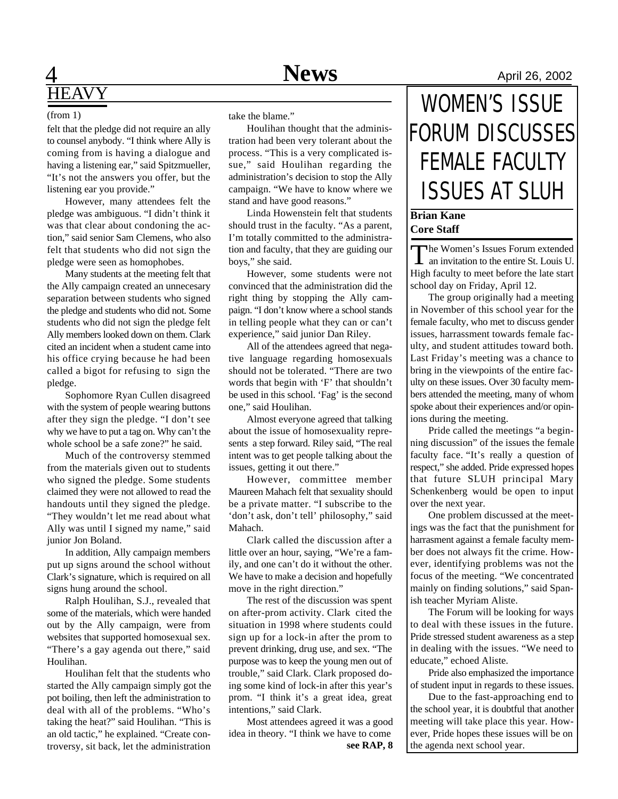## 4 **News** April 26, 2002 HEAV

#### (from 1)

felt that the pledge did not require an ally to counsel anybody. "I think where Ally is coming from is having a dialogue and having a listening ear," said Spitzmueller, "It's not the answers you offer, but the listening ear you provide."

However, many attendees felt the pledge was ambiguous. "I didn't think it was that clear about condoning the action," said senior Sam Clemens, who also felt that students who did not sign the pledge were seen as homophobes.

Many students at the meeting felt that the Ally campaign created an unnecesary separation between students who signed the pledge and students who did not. Some students who did not sign the pledge felt Ally members looked down on them. Clark cited an incident when a student came into his office crying because he had been called a bigot for refusing to sign the pledge.

Sophomore Ryan Cullen disagreed with the system of people wearing buttons after they sign the pledge. "I don't see why we have to put a tag on. Why can't the whole school be a safe zone?" he said.

Much of the controversy stemmed from the materials given out to students who signed the pledge. Some students claimed they were not allowed to read the handouts until they signed the pledge. "They wouldn't let me read about what Ally was until I signed my name," said junior Jon Boland.

In addition, Ally campaign members put up signs around the school without Clark's signature, which is required on all signs hung around the school.

Ralph Houlihan, S.J., revealed that some of the materials, which were handed out by the Ally campaign, were from websites that supported homosexual sex. "There's a gay agenda out there," said Houlihan.

Houlihan felt that the students who started the Ally campaign simply got the pot boiling, then left the administration to deal with all of the problems. "Who's taking the heat?" said Houlihan. "This is an old tactic," he explained. "Create controversy, sit back, let the administration take the blame."

Houlihan thought that the administration had been very tolerant about the process. "This is a very complicated issue," said Houlihan regarding the administration's decision to stop the Ally campaign. "We have to know where we stand and have good reasons."

Linda Howenstein felt that students should trust in the faculty. "As a parent, I'm totally committed to the administration and faculty, that they are guiding our boys," she said.

However, some students were not convinced that the administration did the right thing by stopping the Ally campaign. "I don't know where a school stands in telling people what they can or can't experience," said junior Dan Riley.

All of the attendees agreed that negative language regarding homosexuals should not be tolerated. "There are two words that begin with 'F' that shouldn't be used in this school. 'Fag' is the second one," said Houlihan.

Almost everyone agreed that talking about the issue of homosexuality represents a step forward. Riley said, "The real intent was to get people talking about the issues, getting it out there."

However, committee member Maureen Mahach felt that sexuality should be a private matter. "I subscribe to the 'don't ask, don't tell' philosophy," said Mahach.

Clark called the discussion after a little over an hour, saying, "We're a family, and one can't do it without the other. We have to make a decision and hopefully move in the right direction."

The rest of the discussion was spent on after-prom activity. Clark cited the situation in 1998 where students could sign up for a lock-in after the prom to prevent drinking, drug use, and sex. "The purpose was to keep the young men out of trouble," said Clark. Clark proposed doing some kind of lock-in after this year's prom. "I think it's a great idea, great intentions," said Clark.

Most attendees agreed it was a good idea in theory. "I think we have to come **see RAP, 8**

## WOMEN'S ISSUE FORUM DISCUSSES FEMALE FACULTY ISSUES AT SLUH

### **Brian Kane Core Staff**

The Women's Issues Forum extended<br>an invitation to the entire St. Louis U. he Women's Issues Forum extended High faculty to meet before the late start school day on Friday, April 12.

The group originally had a meeting in November of this school year for the female faculty, who met to discuss gender issues, harrassment towards female faculty, and student attitudes toward both. Last Friday's meeting was a chance to bring in the viewpoints of the entire faculty on these issues. Over 30 faculty members attended the meeting, many of whom spoke about their experiences and/or opinions during the meeting.

Pride called the meetings "a beginning discussion" of the issues the female faculty face. "It's really a question of respect," she added. Pride expressed hopes that future SLUH principal Mary Schenkenberg would be open to input over the next year.

One problem discussed at the meetings was the fact that the punishment for harrasment against a female faculty member does not always fit the crime. However, identifying problems was not the focus of the meeting. "We concentrated mainly on finding solutions," said Spanish teacher Myriam Aliste.

The Forum will be looking for ways to deal with these issues in the future. Pride stressed student awareness as a step in dealing with the issues. "We need to educate," echoed Aliste.

Pride also emphasized the importance of student input in regards to these issues.

Due to the fast-approaching end to the school year, it is doubtful that another meeting will take place this year. However, Pride hopes these issues will be on the agenda next school year.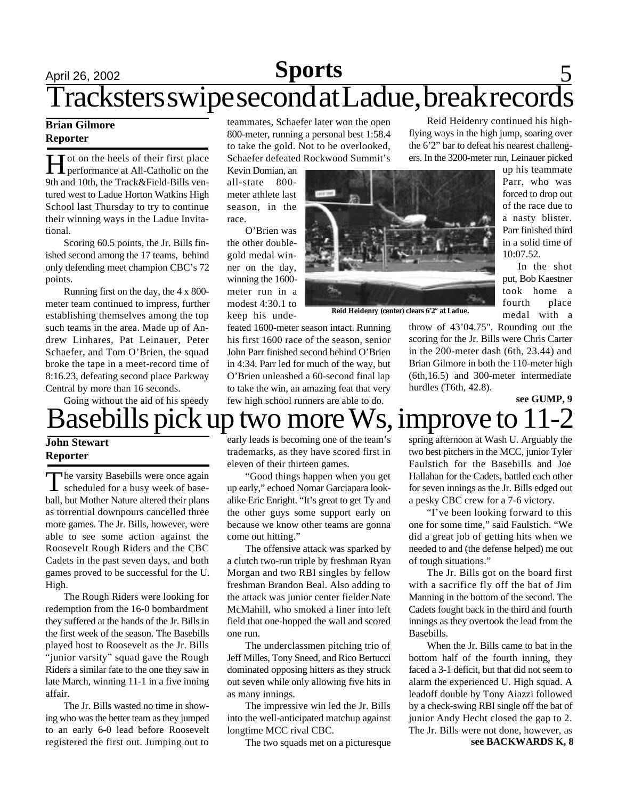### April 26, 2002 **Sports** 5 **Sports** Tracksters swipe second at Ladue, break records

### **Brian Gilmore Reporter**

**H** ot on the heels of their first place<br>performance at All-Catholic on the ot on the heels of their first place 9th and 10th, the Track&Field-Bills ventured west to Ladue Horton Watkins High School last Thursday to try to continue their winning ways in the Ladue Invitational.

Scoring 60.5 points, the Jr. Bills finished second among the 17 teams, behind only defending meet champion CBC's 72 points.

Running first on the day, the 4 x 800 meter team continued to impress, further establishing themselves among the top such teams in the area. Made up of Andrew Linhares, Pat Leinauer, Peter Schaefer, and Tom O'Brien, the squad broke the tape in a meet-record time of 8:16.23, defeating second place Parkway Central by more than 16 seconds.

Going without the aid of his speedy

teammates, Schaefer later won the open 800-meter, running a personal best 1:58.4 to take the gold. Not to be overlooked, Schaefer defeated Rockwood Summit's

Kevin Domian, an all-state 800 meter athlete last season, in the race.

O'Brien was the other doublegold medal winner on the day, winning the 1600 meter run in a modest 4:30.1 to keep his unde-

feated 1600-meter season intact. Running his first 1600 race of the season, senior John Parr finished second behind O'Brien in 4:34. Parr led for much of the way, but O'Brien unleashed a 60-second final lap to take the win, an amazing feat that very few high school runners are able to do.



**Reid Heidenry (center) clears 6'2" at Ladue.**

Reid Heidenry continued his highflying ways in the high jump, soaring over the 6'2" bar to defeat his nearest challengers. In the 3200-meter run, Leinauer picked

up his teammate Parr, who was forced to drop out of the race due to a nasty blister. Parr finished third in a solid time of 10:07.52.

In the shot put, Bob Kaestner took home a fourth place medal with a throw of 43'04.75". Rounding out the

in the 200-meter dash (6th, 23.44) and Brian Gilmore in both the 110-meter high (6th,16.5) and 300-meter intermediate hurdles (T6th, 42.8). **see GUMP, 9**

## asebills pick up two more Ws, improve to  $11$ -2

### **John Stewart Reporter**

The varsity Basebills were once again<br>scheduled for a busy week of basehe varsity Basebills were once again ball, but Mother Nature altered their plans as torrential downpours cancelled three more games. The Jr. Bills, however, were able to see some action against the Roosevelt Rough Riders and the CBC Cadets in the past seven days, and both games proved to be successful for the U. High.

The Rough Riders were looking for redemption from the 16-0 bombardment they suffered at the hands of the Jr. Bills in the first week of the season. The Basebills played host to Roosevelt as the Jr. Bills "junior varsity" squad gave the Rough Riders a similar fate to the one they saw in late March, winning 11-1 in a five inning affair.

The Jr. Bills wasted no time in showing who was the better team as they jumped to an early 6-0 lead before Roosevelt registered the first out. Jumping out to

early leads is becoming one of the team's trademarks, as they have scored first in eleven of their thirteen games.

"Good things happen when you get up early," echoed Nomar Garciapara lookalike Eric Enright. "It's great to get Ty and the other guys some support early on because we know other teams are gonna come out hitting."

The offensive attack was sparked by a clutch two-run triple by freshman Ryan Morgan and two RBI singles by fellow freshman Brandon Beal. Also adding to the attack was junior center fielder Nate McMahill, who smoked a liner into left field that one-hopped the wall and scored one run.

The underclassmen pitching trio of Jeff Milles, Tony Sneed, and Rico Bertucci dominated opposing hitters as they struck out seven while only allowing five hits in as many innings.

The impressive win led the Jr. Bills into the well-anticipated matchup against longtime MCC rival CBC.

The two squads met on a picturesque

spring afternoon at Wash U. Arguably the two best pitchers in the MCC, junior Tyler Faulstich for the Basebills and Joe Hallahan for the Cadets, battled each other for seven innings as the Jr. Bills edged out a pesky CBC crew for a 7-6 victory.

scoring for the Jr. Bills were Chris Carter

"I've been looking forward to this one for some time," said Faulstich. "We did a great job of getting hits when we needed to and (the defense helped) me out of tough situations."

The Jr. Bills got on the board first with a sacrifice fly off the bat of Jim Manning in the bottom of the second. The Cadets fought back in the third and fourth innings as they overtook the lead from the Basebills.

When the Jr. Bills came to bat in the bottom half of the fourth inning, they faced a 3-1 deficit, but that did not seem to alarm the experienced U. High squad. A leadoff double by Tony Aiazzi followed by a check-swing RBI single off the bat of junior Andy Hecht closed the gap to 2. The Jr. Bills were not done, however, as **see BACKWARDS K, 8**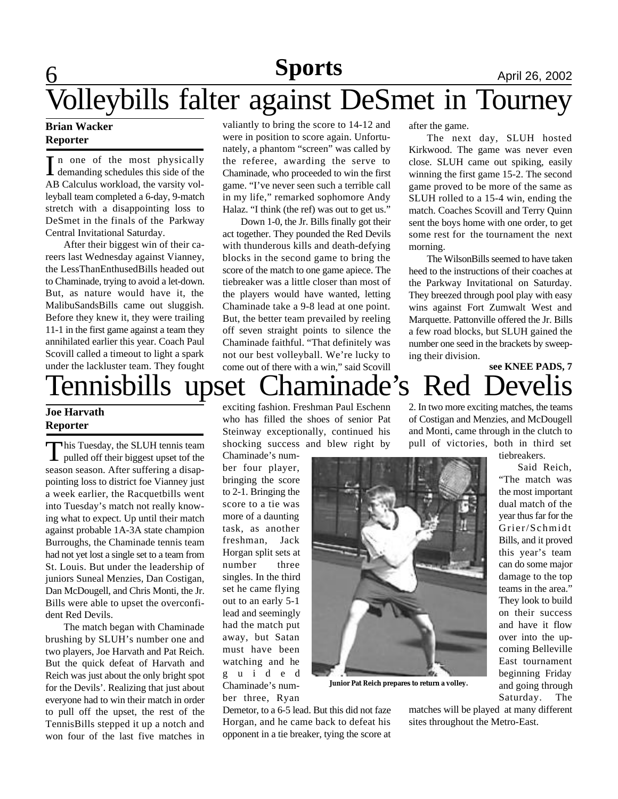## **Sports April 26, 2002**

Volleybills falter against DeSmet in Tourney

### **Brian Wacker Reporter**

6

In one of the most physically<br>demanding schedules this side of the n one of the most physically AB Calculus workload, the varsity volleyball team completed a 6-day, 9-match stretch with a disappointing loss to DeSmet in the finals of the Parkway Central Invitational Saturday.

After their biggest win of their careers last Wednesday against Vianney, the LessThanEnthusedBills headed out to Chaminade, trying to avoid a let-down. But, as nature would have it, the MalibuSandsBills came out sluggish. Before they knew it, they were trailing 11-1 in the first game against a team they annihilated earlier this year. Coach Paul Scovill called a timeout to light a spark under the lackluster team. They fought valiantly to bring the score to 14-12 and were in position to score again. Unfortunately, a phantom "screen" was called by the referee, awarding the serve to Chaminade, who proceeded to win the first game. "I've never seen such a terrible call in my life," remarked sophomore Andy Halaz. "I think (the ref) was out to get us."

Down 1-0, the Jr. Bills finally got their act together. They pounded the Red Devils with thunderous kills and death-defying blocks in the second game to bring the score of the match to one game apiece. The tiebreaker was a little closer than most of the players would have wanted, letting Chaminade take a 9-8 lead at one point. But, the better team prevailed by reeling off seven straight points to silence the Chaminade faithful. "That definitely was not our best volleyball. We're lucky to come out of there with a win," said Scovill

after the game.

The next day, SLUH hosted Kirkwood. The game was never even close. SLUH came out spiking, easily winning the first game 15-2. The second game proved to be more of the same as SLUH rolled to a 15-4 win, ending the match. Coaches Scovill and Terry Quinn sent the boys home with one order, to get some rest for the tournament the next morning.

The WilsonBills seemed to have taken heed to the instructions of their coaches at the Parkway Invitational on Saturday. They breezed through pool play with easy wins against Fort Zumwalt West and Marquette. Pattonville offered the Jr. Bills a few road blocks, but SLUH gained the number one seed in the brackets by sweeping their division.

### Tennisbills upset Chaminade's Red Develis **see KNEE PADS, 7**

### **Joe Harvath Reporter**

This Tuesday, the SLUH tennis team<br>pulled off their biggest upset tof the his Tuesday, the SLUH tennis team season season. After suffering a disappointing loss to district foe Vianney just a week earlier, the Racquetbills went into Tuesday's match not really knowing what to expect. Up until their match against probable 1A-3A state champion Burroughs, the Chaminade tennis team had not yet lost a single set to a team from St. Louis. But under the leadership of juniors Suneal Menzies, Dan Costigan, Dan McDougell, and Chris Monti, the Jr. Bills were able to upset the overconfident Red Devils.

The match began with Chaminade brushing by SLUH's number one and two players, Joe Harvath and Pat Reich. But the quick defeat of Harvath and Reich was just about the only bright spot for the Devils'. Realizing that just about everyone had to win their match in order to pull off the upset, the rest of the TennisBills stepped it up a notch and won four of the last five matches in exciting fashion. Freshman Paul Eschenn who has filled the shoes of senior Pat Steinway exceptionally, continued his shocking success and blew right by

Chaminade's number four player, bringing the score to 2-1. Bringing the score to a tie was more of a daunting task, as another freshman, Jack Horgan split sets at number three singles. In the third set he came flying out to an early 5-1 lead and seemingly had the match put away, but Satan must have been watching and he g u i d e d Chaminade's number three, Ryan

Demetor, to a 6-5 lead. But this did not faze Horgan, and he came back to defeat his opponent in a tie breaker, tying the score at 2. In two more exciting matches, the teams of Costigan and Menzies, and McDougell and Monti, came through in the clutch to pull of victories, both in third set

tiebreakers.

Said Reich, "The match was the most important dual match of the year thus far for the Grier/Schmidt Bills, and it proved this year's team can do some major damage to the top teams in the area." They look to build on their success and have it flow over into the upcoming Belleville East tournament beginning Friday and going through Saturday. The

matches will be played at many different sites throughout the Metro-East.



**Junior Pat Reich prepares to return a volley.**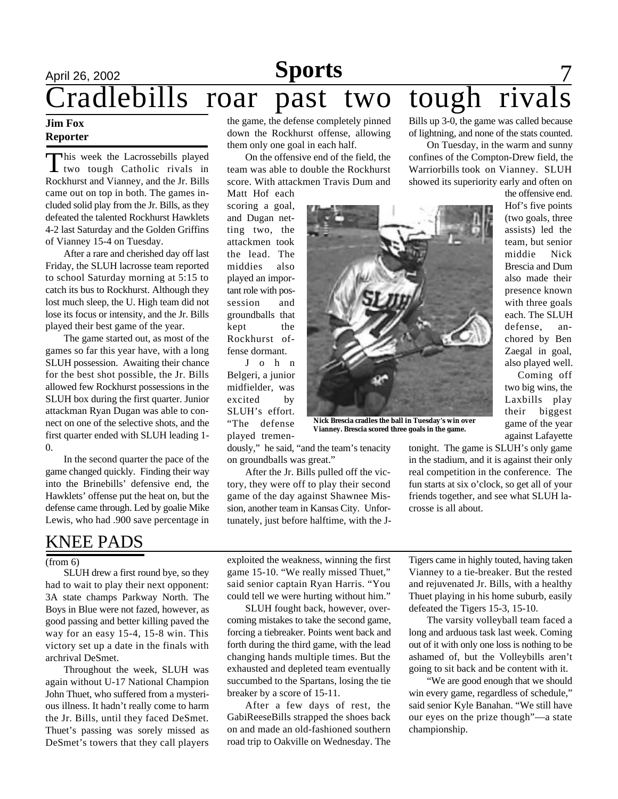# April 26, 2002 **Sports** 7 Cradlebills roar past two tough rival

### **Jim Fox Reporter**

This week the Lacrossebills played<br>two tough Catholic rivals in his week the Lacrossebills played Rockhurst and Vianney, and the Jr. Bills came out on top in both. The games included solid play from the Jr. Bills, as they defeated the talented Rockhurst Hawklets 4-2 last Saturday and the Golden Griffins of Vianney 15-4 on Tuesday.

After a rare and cherished day off last Friday, the SLUH lacrosse team reported to school Saturday morning at 5:15 to catch its bus to Rockhurst. Although they lost much sleep, the U. High team did not lose its focus or intensity, and the Jr. Bills played their best game of the year.

The game started out, as most of the games so far this year have, with a long SLUH possession. Awaiting their chance for the best shot possible, the Jr. Bills allowed few Rockhurst possessions in the SLUH box during the first quarter. Junior attackman Ryan Dugan was able to connect on one of the selective shots, and the first quarter ended with SLUH leading 1- 0.

In the second quarter the pace of the game changed quickly. Finding their way into the Brinebills' defensive end, the Hawklets' offense put the heat on, but the defense came through. Led by goalie Mike Lewis, who had .900 save percentage in

the game, the defense completely pinned down the Rockhurst offense, allowing them only one goal in each half.

On the offensive end of the field, the team was able to double the Rockhurst score. With attackmen Travis Dum and Matt Hof each

scoring a goal, and Dugan netting two, the attackmen took the lead. The middies also played an important role with possession and groundballs that kept the Rockhurst offense dormant.

J o h n Belgeri, a junior midfielder, was excited by SLUH's effort. "The defense played tremen-

dously," he said, "and the team's tenacity on groundballs was great."

After the Jr. Bills pulled off the victory, they were off to play their second game of the day against Shawnee Mission, another team in Kansas City. Unfortunately, just before halftime, with the J-

Bills up 3-0, the game was called because of lightning, and none of the stats counted.

On Tuesday, in the warm and sunny confines of the Compton-Drew field, the Warriorbills took on Vianney. SLUH showed its superiority early and often on

the offensive end. Hof's five points (two goals, three assists) led the team, but senior middie Nick Brescia and Dum also made their presence known with three goals each. The SLUH defense, anchored by Ben Zaegal in goal, also played well.

Coming off two big wins, the Laxbills play their biggest game of the year against Lafayette

**Nick Brescia cradles the ball in Tuesday's win over Vianney. Brescia scored three goals in the game.**

KNEE PADS

### (from 6)

SLUH drew a first round bye, so they had to wait to play their next opponent: 3A state champs Parkway North. The Boys in Blue were not fazed, however, as good passing and better killing paved the way for an easy 15-4, 15-8 win. This victory set up a date in the finals with archrival DeSmet.

Throughout the week, SLUH was again without U-17 National Champion John Thuet, who suffered from a mysterious illness. It hadn't really come to harm the Jr. Bills, until they faced DeSmet. Thuet's passing was sorely missed as DeSmet's towers that they call players

exploited the weakness, winning the first game 15-10. "We really missed Thuet," said senior captain Ryan Harris. "You could tell we were hurting without him."

SLUH fought back, however, overcoming mistakes to take the second game, forcing a tiebreaker. Points went back and forth during the third game, with the lead changing hands multiple times. But the exhausted and depleted team eventually succumbed to the Spartans, losing the tie breaker by a score of 15-11.

After a few days of rest, the GabiReeseBills strapped the shoes back on and made an old-fashioned southern road trip to Oakville on Wednesday. The

Tigers came in highly touted, having taken Vianney to a tie-breaker. But the rested and rejuvenated Jr. Bills, with a healthy Thuet playing in his home suburb, easily defeated the Tigers 15-3, 15-10.

tonight. The game is SLUH's only game in the stadium, and it is against their only real competition in the conference. The fun starts at six o'clock, so get all of your friends together, and see what SLUH la-

crosse is all about.

The varsity volleyball team faced a long and arduous task last week. Coming out of it with only one loss is nothing to be ashamed of, but the Volleybills aren't going to sit back and be content with it.

"We are good enough that we should win every game, regardless of schedule," said senior Kyle Banahan. "We still have our eyes on the prize though"—a state championship.

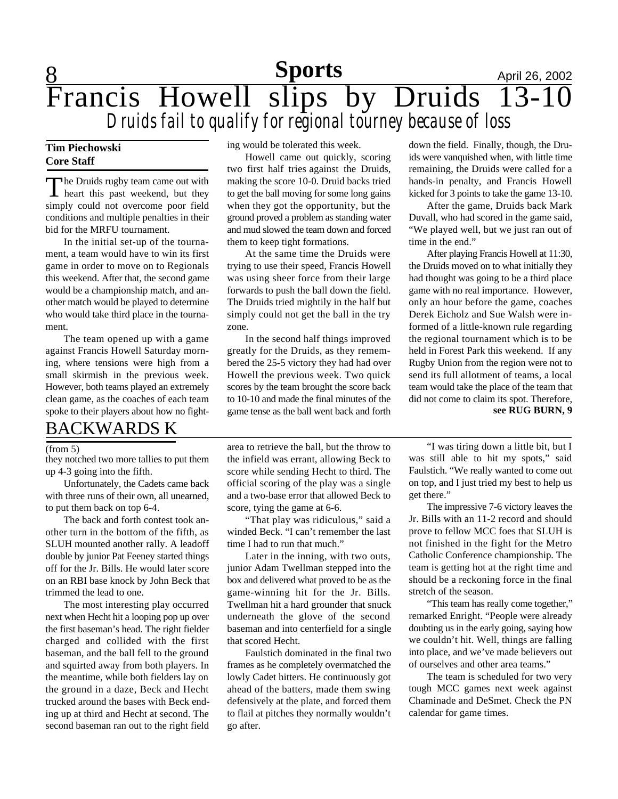## **8 Sports April 26, 2002** Francis Howell slips by Druids 13-10 *Druids fail to qualify for regional tourney because of loss*

### **Tim Piechowski Core Staff**

The Druids rugby team came out with<br>heart this past weekend, but they The Druids rugby team came out with simply could not overcome poor field conditions and multiple penalties in their bid for the MRFU tournament.

In the initial set-up of the tournament, a team would have to win its first game in order to move on to Regionals this weekend. After that, the second game would be a championship match, and another match would be played to determine who would take third place in the tournament.

The team opened up with a game against Francis Howell Saturday morning, where tensions were high from a small skirmish in the previous week. However, both teams played an extremely clean game, as the coaches of each team spoke to their players about how no fight-

### BACKWARDS K

#### (from 5)

they notched two more tallies to put them up 4-3 going into the fifth.

Unfortunately, the Cadets came back with three runs of their own, all unearned, to put them back on top 6-4.

The back and forth contest took another turn in the bottom of the fifth, as SLUH mounted another rally. A leadoff double by junior Pat Feeney started things off for the Jr. Bills. He would later score on an RBI base knock by John Beck that trimmed the lead to one.

The most interesting play occurred next when Hecht hit a looping pop up over the first baseman's head. The right fielder charged and collided with the first baseman, and the ball fell to the ground and squirted away from both players. In the meantime, while both fielders lay on the ground in a daze, Beck and Hecht trucked around the bases with Beck ending up at third and Hecht at second. The second baseman ran out to the right field

ing would be tolerated this week.

Howell came out quickly, scoring two first half tries against the Druids, making the score 10-0. Druid backs tried to get the ball moving for some long gains when they got the opportunity, but the ground proved a problem as standing water and mud slowed the team down and forced them to keep tight formations.

At the same time the Druids were trying to use their speed, Francis Howell was using sheer force from their large forwards to push the ball down the field. The Druids tried mightily in the half but simply could not get the ball in the try zone.

In the second half things improved greatly for the Druids, as they remembered the 25-5 victory they had had over Howell the previous week. Two quick scores by the team brought the score back to 10-10 and made the final minutes of the game tense as the ball went back and forth

down the field. Finally, though, the Druids were vanquished when, with little time remaining, the Druids were called for a hands-in penalty, and Francis Howell kicked for 3 points to take the game 13-10.

After the game, Druids back Mark Duvall, who had scored in the game said, "We played well, but we just ran out of time in the end."

After playing Francis Howell at 11:30, the Druids moved on to what initially they had thought was going to be a third place game with no real importance. However, only an hour before the game, coaches Derek Eicholz and Sue Walsh were informed of a little-known rule regarding the regional tournament which is to be held in Forest Park this weekend. If any Rugby Union from the region were not to send its full allotment of teams, a local team would take the place of the team that did not come to claim its spot. Therefore, **see RUG BURN, 9**

area to retrieve the ball, but the throw to the infield was errant, allowing Beck to score while sending Hecht to third. The official scoring of the play was a single and a two-base error that allowed Beck to score, tying the game at 6-6.

"That play was ridiculous," said a winded Beck. "I can't remember the last time I had to run that much."

Later in the inning, with two outs, junior Adam Twellman stepped into the box and delivered what proved to be as the game-winning hit for the Jr. Bills. Twellman hit a hard grounder that snuck underneath the glove of the second baseman and into centerfield for a single that scored Hecht.

Faulstich dominated in the final two frames as he completely overmatched the lowly Cadet hitters. He continuously got ahead of the batters, made them swing defensively at the plate, and forced them to flail at pitches they normally wouldn't go after.

"I was tiring down a little bit, but I was still able to hit my spots," said Faulstich. "We really wanted to come out on top, and I just tried my best to help us get there."

The impressive 7-6 victory leaves the Jr. Bills with an 11-2 record and should prove to fellow MCC foes that SLUH is not finished in the fight for the Metro Catholic Conference championship. The team is getting hot at the right time and should be a reckoning force in the final stretch of the season.

"This team has really come together," remarked Enright. "People were already doubting us in the early going, saying how we couldn't hit. Well, things are falling into place, and we've made believers out of ourselves and other area teams."

The team is scheduled for two very tough MCC games next week against Chaminade and DeSmet. Check the PN calendar for game times.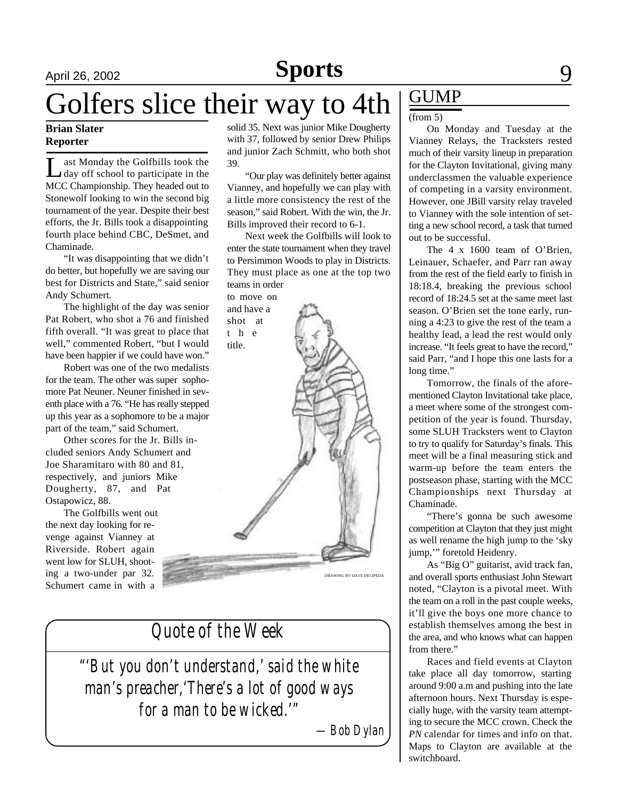## Golfers slice their way to 4th

### **Brian Slater Reporter**

Let Monday the Golfbills took the<br>
day off school to participate in the ast Monday the Golfbills took the MCC Championship. They headed out to Stonewolf looking to win the second big tournament of the year. Despite their best efforts, the Jr. Bills took a disappointing fourth place behind CBC, DeSmet, and Chaminade.

"It was disappointing that we didn't do better, but hopefully we are saving our best for Districts and State," said senior Andy Schumert.

The highlight of the day was senior Pat Robert, who shot a 76 and finished fifth overall. "It was great to place that well," commented Robert, "but I would have been happier if we could have won."

Robert was one of the two medalists for the team. The other was super sophomore Pat Neuner. Neuner finished in seventh place with a 76. "He has really stepped up this year as a sophomore to be a major part of the team," said Schumert.

Other scores for the Jr. Bills included seniors Andy Schumert and Joe Sharamitaro with 80 and 81, respectively, and juniors Mike Dougherty, 87, and Pat Ostapowicz, 88.

The Golfbills went out the next day looking for revenge against Vianney at Riverside. Robert again went low for SLUH, shooting a two-under par 32. Schumert came in with a

solid 35. Next was junior Mike Dougherty with 37, followed by senior Drew Philips and junior Zach Schmitt, who both shot 39.

"Our play was definitely better against Vianney, and hopefully we can play with a little more consistency the rest of the season," said Robert. With the win, the Jr. Bills improved their record to 6-1.

Next week the Golfbills will look to enter the state tournament when they travel to Persimmon Woods to play in Districts. They must place as one at the top two teams in order

to move on and have a

shot at t h e title.

## *Quote of the Week*

*"'But you don't understand,' said the white man's preacher,'There's a lot of good ways for a man to be wicked.'"*

*—Bob Dylan*

DRAWING BY DAVE DECIPEDA

### GUMP

(from 5)

On Monday and Tuesday at the Vianney Relays, the Tracksters rested much of their varsity lineup in preparation for the Clayton Invitational, giving many underclassmen the valuable experience of competing in a varsity environment. However, one JBill varsity relay traveled to Vianney with the sole intention of setting a new school record, a task that turned out to be successful.

The 4 x 1600 team of O'Brien, Leinauer, Schaefer, and Parr ran away from the rest of the field early to finish in 18:18.4, breaking the previous school record of 18:24.5 set at the same meet last season. O'Brien set the tone early, running a 4:23 to give the rest of the team a healthy lead, a lead the rest would only increase. "It feels great to have the record," said Parr, "and I hope this one lasts for a long time."

Tomorrow, the finals of the aforementioned Clayton Invitational take place, a meet where some of the strongest competition of the year is found. Thursday, some SLUH Tracksters went to Clayton to try to qualify for Saturday's finals. This meet will be a final measuring stick and warm-up before the team enters the postseason phase, starting with the MCC Championships next Thursday at Chaminade.

"There's gonna be such awesome competition at Clayton that they just might as well rename the high jump to the 'sky jump,'" foretold Heidenry.

As "Big O" guitarist, avid track fan, and overall sports enthusiast John Stewart noted, "Clayton is a pivotal meet. With the team on a roll in the past couple weeks, it'll give the boys one more chance to establish themselves among the best in the area, and who knows what can happen from there."

Races and field events at Clayton take place all day tomorrow, starting around 9:00 a.m and pushing into the late afternoon hours. Next Thursday is especially huge, with the varsity team attempting to secure the MCC crown. Check the *PN* calendar for times and info on that. Maps to Clayton are available at the switchboard.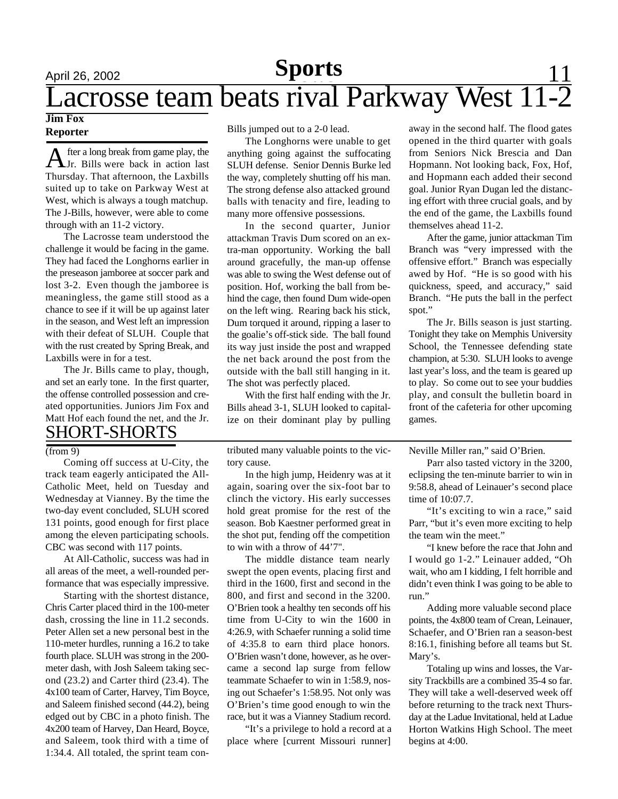## April 26, 2002 **Sports** 11 Lacrosse team beats rival Parkway West 11-2

### **Jim Fox Reporter**

A fter a long break from game play, the<br>Ir. Bills were back in action last fter a long break from game play, the Thursday. That afternoon, the Laxbills suited up to take on Parkway West at West, which is always a tough matchup. The J-Bills, however, were able to come through with an 11-2 victory.

The Lacrosse team understood the challenge it would be facing in the game. They had faced the Longhorns earlier in the preseason jamboree at soccer park and lost 3-2. Even though the jamboree is meaningless, the game still stood as a chance to see if it will be up against later in the season, and West left an impression with their defeat of SLUH. Couple that with the rust created by Spring Break, and Laxbills were in for a test.

The Jr. Bills came to play, though, and set an early tone. In the first quarter, the offense controlled possession and created opportunities. Juniors Jim Fox and Matt Hof each found the net, and the Jr. SHORT-SHORTS

### (from 9)

Coming off success at U-City, the track team eagerly anticipated the All-Catholic Meet, held on Tuesday and Wednesday at Vianney. By the time the two-day event concluded, SLUH scored 131 points, good enough for first place among the eleven participating schools. CBC was second with 117 points.

At All-Catholic, success was had in all areas of the meet, a well-rounded performance that was especially impressive.

Starting with the shortest distance, Chris Carter placed third in the 100-meter dash, crossing the line in 11.2 seconds. Peter Allen set a new personal best in the 110-meter hurdles, running a 16.2 to take fourth place. SLUH was strong in the 200 meter dash, with Josh Saleem taking second (23.2) and Carter third (23.4). The 4x100 team of Carter, Harvey, Tim Boyce, and Saleem finished second (44.2), being edged out by CBC in a photo finish. The 4x200 team of Harvey, Dan Heard, Boyce, and Saleem, took third with a time of 1:34.4. All totaled, the sprint team conBills jumped out to a 2-0 lead.

The Longhorns were unable to get anything going against the suffocating SLUH defense. Senior Dennis Burke led the way, completely shutting off his man. The strong defense also attacked ground balls with tenacity and fire, leading to many more offensive possessions.

In the second quarter, Junior attackman Travis Dum scored on an extra-man opportunity. Working the ball around gracefully, the man-up offense was able to swing the West defense out of position. Hof, working the ball from behind the cage, then found Dum wide-open on the left wing. Rearing back his stick, Dum torqued it around, ripping a laser to the goalie's off-stick side. The ball found its way just inside the post and wrapped the net back around the post from the outside with the ball still hanging in it. The shot was perfectly placed.

With the first half ending with the Jr. Bills ahead 3-1, SLUH looked to capitalize on their dominant play by pulling

away in the second half. The flood gates opened in the third quarter with goals from Seniors Nick Brescia and Dan Hopmann. Not looking back, Fox, Hof, and Hopmann each added their second goal. Junior Ryan Dugan led the distancing effort with three crucial goals, and by the end of the game, the Laxbills found themselves ahead 11-2.

After the game, junior attackman Tim Branch was "very impressed with the offensive effort." Branch was especially awed by Hof. "He is so good with his quickness, speed, and accuracy," said Branch. "He puts the ball in the perfect spot."

The Jr. Bills season is just starting. Tonight they take on Memphis University School, the Tennessee defending state champion, at 5:30. SLUH looks to avenge last year's loss, and the team is geared up to play. So come out to see your buddies play, and consult the bulletin board in front of the cafeteria for other upcoming games.

tributed many valuable points to the victory cause.

In the high jump, Heidenry was at it again, soaring over the six-foot bar to clinch the victory. His early successes hold great promise for the rest of the season. Bob Kaestner performed great in the shot put, fending off the competition to win with a throw of 44'7".

The middle distance team nearly swept the open events, placing first and third in the 1600, first and second in the 800, and first and second in the 3200. O'Brien took a healthy ten seconds off his time from U-City to win the 1600 in 4:26.9, with Schaefer running a solid time of 4:35.8 to earn third place honors. O'Brien wasn't done, however, as he overcame a second lap surge from fellow teammate Schaefer to win in 1:58.9, nosing out Schaefer's 1:58.95. Not only was O'Brien's time good enough to win the race, but it was a Vianney Stadium record.

"It's a privilege to hold a record at a place where [current Missouri runner]

Neville Miller ran," said O'Brien.

Parr also tasted victory in the 3200, eclipsing the ten-minute barrier to win in 9:58.8, ahead of Leinauer's second place time of 10:07.7.

"It's exciting to win a race," said Parr, "but it's even more exciting to help the team win the meet."

"I knew before the race that John and I would go 1-2." Leinauer added, "Oh wait, who am I kidding, I felt horrible and didn't even think I was going to be able to run."

Adding more valuable second place points, the 4x800 team of Crean, Leinauer, Schaefer, and O'Brien ran a season-best 8:16.1, finishing before all teams but St. Mary's.

Totaling up wins and losses, the Varsity Trackbills are a combined 35-4 so far. They will take a well-deserved week off before returning to the track next Thursday at the Ladue Invitational, held at Ladue Horton Watkins High School. The meet begins at 4:00.